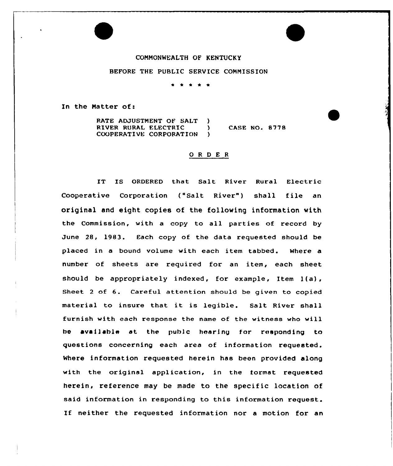## CONNONWEALTH OF KENTUCKY

## BEFORE THE PUBLIC SERVICE CONNISSION

\* \* \* \* \*

In the Matter of:

RATE ADJUSTMENT OF SALT )<br>RIVER RURAL ELECTRIC RIVER RURAL ELECTRIC )<br>COOPERATIVE CORPORATION ) COOPERATIVE CORPORATION CASE NO, 8778

## ORDER

IT IS ORDERED that Salt River Rural Electric Cooperative Corporation ("Salt River") shall file an original and eight copies of the following information with the Commission, with a copy to all parties of record by June 28, 1983. Each copy of the data requested should be placed in a bound volume with each item tabbed. Where a number of sheets are required for an item, each sheet should be appropriately indexed, for example, Item l(a), Sheet <sup>2</sup> of 6. Careful attention should be given to copied material to insure that it is legible. Salt River shall furnish with each response the name of the witness who will bo available at the publo hearing for responding to questions concerning each area of information requested. Where information requested herein has been provided along with the original application, in the format requested herein, reference may be made to the specific location of said information in responding to this information request. If neither the requested information nor a motion for an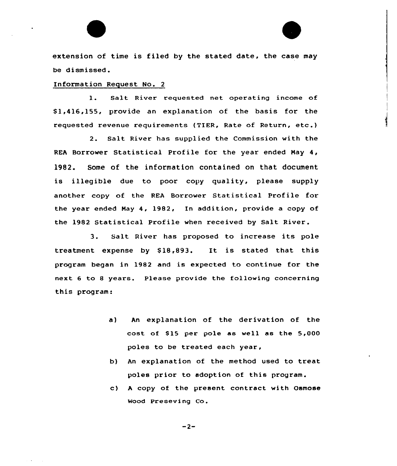extension of time is filed by the stated date, the case may be dismissed.

## Information Request No. <sup>2</sup>

l. Salt River requested net operating income of \$ 1,416,155, provide an explanation of the basis for the requested revenue requirements (TIER, Rate of Return, etc.)

2. Salt River has supplied the Commission with the REA Borrower Statistical Profile for the year ended May 4, 1982. Some of the information contained on that document is illegible due to poor copy quality, please supply another copy af the REA Borrower Statistical Profile far the year ended May 4, 1982, In addition, provide a copy of the 1982 Statistical Profile when received by Salt River.

3. Salt River has proposed to increase its pole treatment expense by \$18,893. It is stated that this program began in 1982 and is expected to continue for the next 6 to 8 years. Please provide the following concerning this program:

- a) An explanation of the derivation of the cost of \$15 per pole as well as the  $5,000$ poles to be treated each year,
- b) An explanation of the method used to treat poles prior to adoption of this program.
- c) <sup>A</sup> copy of the present contract with Osmose Wood Preseving Co.

 $-2-$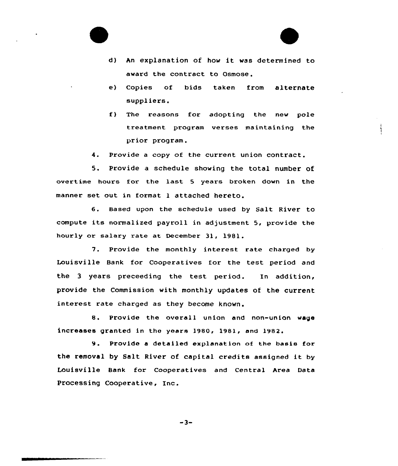

- d) An explanation of how it was determined to award the contract to Osmose.
- e) Copies of bids taken from alternate suppliers.
- f) The reasons for adopting the new pole treatment program verses maintaining the prior program.
- 4. Provide a copy of the current union contract.

5. Provide a schedule showing the total number of overtime hours for the last <sup>5</sup> years broken down in the manner set out in format <sup>1</sup> attached hereto.

6. Based upon the schedule used by Salt River to compute its normalized payroll in adjustment 5, provide the hourly or salary rate at December 31, 1981.

7. Provide the monthly interest rate charged by Louisville Bank for Cooperatives for the test period and the <sup>3</sup> years preceeding the test period. In addition, provide the Commission with monthly updates of the current interest rate charged as they become known.

8. Provide the overal1 union and non-union wage increases granted in the years 1980, 1981, and 1982.

9. Provide <sup>a</sup> detailed explanat ion of the basis for the removal by Salt River of capital credits assigned it by Louisville Bank for Cooperatives and Central Area Data Processing Cooperative, Inc.

 $-3-$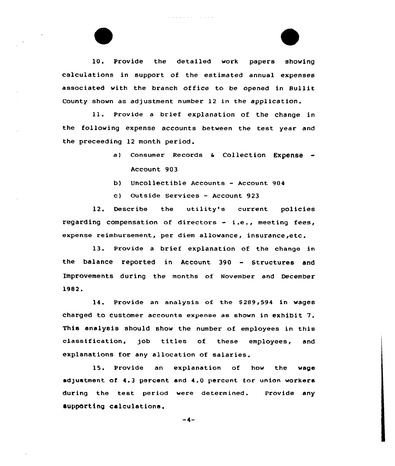10. Provide the detailed work papers showing calculations in support of the estimated annual expenses associated with the branch office to be opened in Bullit County shown as adjustment number 12 in the application.

and the same

ll. Provide <sup>a</sup> brief explanation of the change in the following expense accounts between the test year and the preceeding 12 month period.

- a) Consumer Records & Collection Expense -Account 903
- b) Uncollectible Accounts Account <sup>904</sup>
- c) Outside Services Account 923

12. Describe the utility's current policies regarding compensation of directors - i.e., meeting fees, expense reimhursement, per diem allowance, insurance,etc.

13. Provide <sup>a</sup> brief explanation of the change in the balance reported in Account <sup>390</sup> - Structures and Improvements during the months of November and December 1982.

14. Provide an analysis of the S289,594 in wages charged to customer accounts expense as shown in exhibit 7. This analysis should show the number of employees in this classification, job titles of these employees, and explanations for any allocation of salaries.

15. Provide an explanation of how the wage adjustment of 4.3 percent and 4.0 percent for union workers during the test period were determined. Iupportlng calculations. Prov ide any

 $-4-$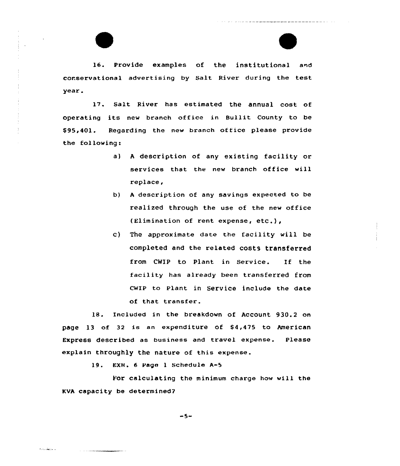l6. Provide examples of the institutional and corservatianal advertising by Salt River during the test year.

17. Salt River has estimated the annual cost of operating its new branch office in Bullit County to be \$95,401. Regarding the new branch office please provide the fol lowing:

- a) <sup>A</sup> description af any existing facility or services that the new branch office will replace
- b) A description of any savings expected to be realized through the use of the new office (Elimination of rent expense, etc.),
- c) The approximate date the facility will be completed and the related costs transferred from CWIP to Plant in Service. If the facility has already been transferred from CWIP to Plant in Service include the date of that transfer.

18. Included in the breakdown of Account 930.2 an page 13 cf 32 is an expenditure of 54,475 to American Express described as business and travel expense. Please explain throughly the nature of this expense.

19. EXH. 6 Pago <sup>1</sup> Schedule A-5

Alban Wallace

For calculating the minimum charge how will the KVA capacity be determined?

 $-5-$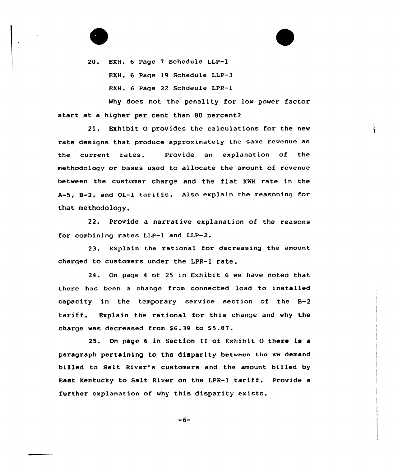20. EXH. 6 Page 7 Schedule LLP-1 EXH. 6 Page 19 Schedule LLP-3 EXH. 6 Page 22 Schdeule LPR-1

Why does not the penality for low power factor start at a higher per cent than 80 percent?

21. Exhibit 0 provides the calculations for the new rate designs that produce approximately the same revenue as the current rates. Provide an explanation of the methodology or bases used to allocate the amount of revenue between the customer charge and the flat KMH rate in the  $A-5$ ,  $B-2$ , and  $OL-1$  tariffs. Also explain the reasoning for that methodology.

22. Provide a narrative explanation of the reasons for combining rates LLP-l and LLP-2.

23. Explain the rational for decreasing the amount charged to customers under the LPR-1 rate.

24. On page <sup>4</sup> of 25 in Exhibit 6 we have noted that there has been a change from connected load to installed capacity in the temporary service section of the 8-2 tariff. Explain the rational for this change and why the charge was decreased from \$6.39 to \$5.87.

25. On page <sup>6</sup> in Section II of Exhibit o there is a paragraph pertaining to the disparity between the KW demand billed to Salt River's customers and the amount billed by East Kentucky to Salt River on the LPR-1 tariff. Provide <sup>a</sup> further explanation of why this disparity exists.

 $-6-$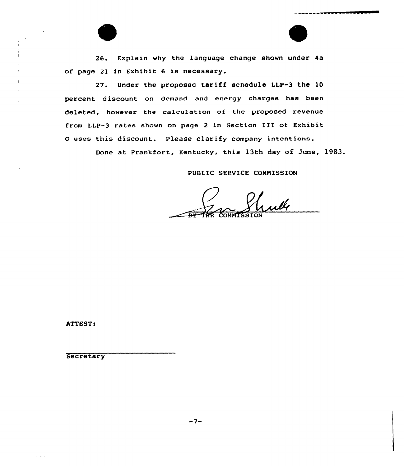26. Explain why the language change shown under 4a of page 2l in Exhibit <sup>6</sup> is necessary.

27. Under the proposed tariff schedule LLP-3 the 10 percent discount on demand and energy charges has been deleted, however the calcuIation of the proposed revenue from LLP-3 rates shown on page <sup>2</sup> in Section III of Exhibit <sup>O</sup> uses this discount. Please clarify company intentions.

Done at Frankfort, Kentucky, this 13th day of June, 1983.

PUBLIC SERVICE COHNISSION

uly HE COMMISSION

ATTEST!

**Secretary**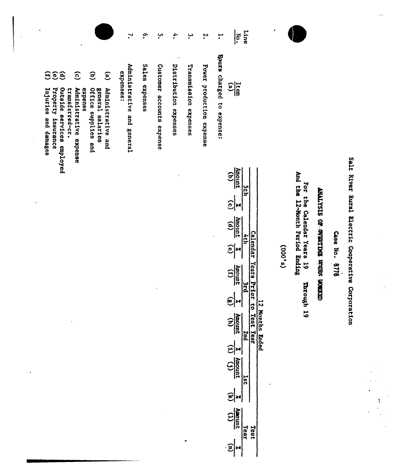|                                                                                                                                                                                                                                                                                                       | $\mathbf{r}$                               | $\tilde{\cdot}$<br>ب                                  | 4.                    | ب<br>۲.                                           | ۳.                           | Line<br>¦ङ<br>'                                                                                                                                                                    |                                                                                             |                                                        |
|-------------------------------------------------------------------------------------------------------------------------------------------------------------------------------------------------------------------------------------------------------------------------------------------------------|--------------------------------------------|-------------------------------------------------------|-----------------------|---------------------------------------------------|------------------------------|------------------------------------------------------------------------------------------------------------------------------------------------------------------------------------|---------------------------------------------------------------------------------------------|--------------------------------------------------------|
| 〔<br>$\widehat{e}$<br>$\widehat{\mathbf{e}}$<br><u>ල</u><br>$\mathbf{e}$<br>ව<br>Property<br>Outside services employed<br><b>Office</b><br>Injuries and damages<br>Administrative expense<br>expense<br>Administrative and<br>transferred-cr.<br>general salaries<br>enbblies and<br><b>Jnsurance</b> | Administrative<br>expenses:<br>and general | <b>Sales</b><br>Customer accounts expense<br>expenses | Distribution expenses | Transmission expenses<br>Power production expense | Boure charged<br>to expense: | $\frac{1}{\log 2}$                                                                                                                                                                 |                                                                                             |                                                        |
|                                                                                                                                                                                                                                                                                                       |                                            |                                                       |                       |                                                   | ဉ့                           | Amount<br>$\widehat{\Xi}$<br>n<br>17<br>$\frac{(p)}{(q)}$<br><b><i><u>Calendar</u></i></b><br>qan<br>$\tilde{e}$<br>Years Pr<br>$\frac{1}{\frac{1}{\text{min} \text{ odd}}}$<br>یا | And the 12-Month Period Ending<br><b>R01</b><br>e.he<br>Calendar Years<br>(9,000)<br>5<br>넍 | KAN SKIDTER EDELLARIAD ED SISKINNA<br>Case No.<br>8178 |

 $\bullet$ 

J.

Salt River Rural Electric Cooperative Corporation

 $\frac{1}{2}$ 

**CECER** 

hrough 19

| $\frac{(\text{d})}{(\text{b})}$                |                     |  |
|------------------------------------------------|---------------------|--|
| $\frac{1}{\sqrt{c}}$                           |                     |  |
| $\frac{(p)}{(p)}$                              |                     |  |
| $\widehat{\mathbf{e}}$                         |                     |  |
| $\frac{4 \text{mod } t}{(1)}$                  |                     |  |
| $\hat{\mathbf{e}}$                             |                     |  |
| $\frac{d}{d\mu}$                               | es<br>S<br>.<br>កូន |  |
| $\mathbf{E}$                                   |                     |  |
| $\frac{1}{\sqrt{1}}$                           |                     |  |
| $\hat{\bm{z}}$                                 |                     |  |
| <b>Aunoun</b><br>$\mathbf{r}$<br>$\frac{1}{2}$ |                     |  |
| 3                                              |                     |  |